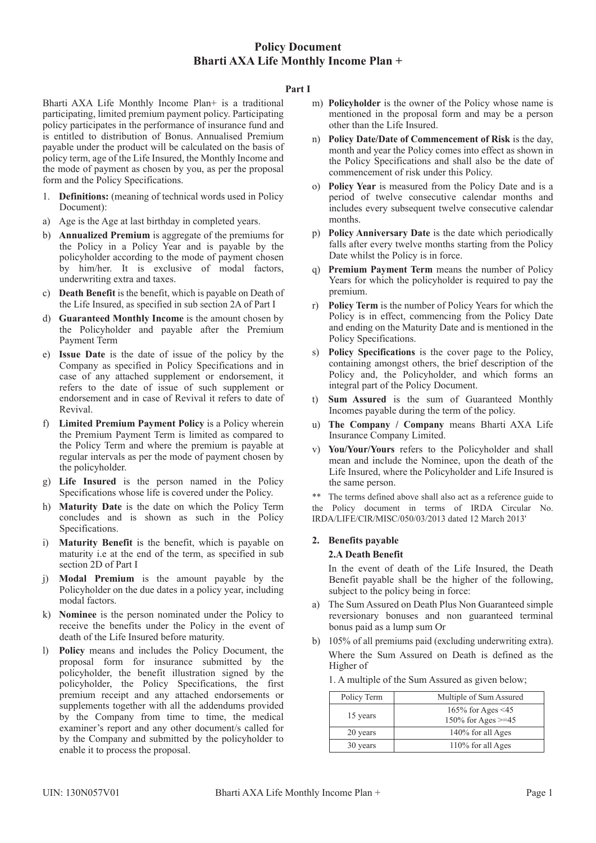#### **Part I**

Bharti AXA Life Monthly Income Plan+ is a traditional participating, limited premium payment policy. Participating policy participates in the performance of insurance fund and is entitled to distribution of Bonus. Annualised Premium payable under the product will be calculated on the basis of policy term, age of the Life Insured, the Monthly Income and the mode of payment as chosen by you, as per the proposal form and the Policy Specifications.

- 1. **Definitions:** (meaning of technical words used in Policy Document):
- a) Age is the Age at last birthday in completed years.
- b) **Annualized Premium** is aggregate of the premiums for the Policy in a Policy Year and is payable by the policyholder according to the mode of payment chosen by him/her. It is exclusive of modal factors, underwriting extra and taxes.
- c) **Death Benefit** is the benefit, which is payable on Death of the Life Insured, as specified in sub section 2A of Part I
- d) **Guaranteed Monthly Income** is the amount chosen by the Policyholder and payable after the Premium Payment Term
- e) **Issue Date** is the date of issue of the policy by the Company as specified in Policy Specifications and in case of any attached supplement or endorsement, it refers to the date of issue of such supplement or endorsement and in case of Revival it refers to date of Revival.
- **Limited Premium Payment Policy** is a Policy wherein the Premium Payment Term is limited as compared to the Policy Term and where the premium is payable at regular intervals as per the mode of payment chosen by the policyholder.
- g) **Life Insured** is the person named in the Policy Specifications whose life is covered under the Policy.
- h) **Maturity Date** is the date on which the Policy Term concludes and is shown as such in the Policy Specifications.
- i) **Maturity Benefit** is the benefit, which is payable on maturity i.e at the end of the term, as specified in sub section 2D of Part I
- j) **Modal Premium** is the amount payable by the Policyholder on the due dates in a policy year, including modal factors.
- k) **Nominee** is the person nominated under the Policy to receive the benefits under the Policy in the event of death of the Life Insured before maturity.
- l) **Policy** means and includes the Policy Document, the proposal form for insurance submitted by the policyholder, the benefit illustration signed by the policyholder, the Policy Specifications, the first premium receipt and any attached endorsements or supplements together with all the addendums provided by the Company from time to time, the medical examiner's report and any other document/s called for by the Company and submitted by the policyholder to enable it to process the proposal.
- m) **Policyholder** is the owner of the Policy whose name is mentioned in the proposal form and may be a person other than the Life Insured.
- n) **Policy Date/Date of Commencement of Risk** is the day, month and year the Policy comes into effect as shown in the Policy Specifications and shall also be the date of commencement of risk under this Policy.
- o) **Policy Year** is measured from the Policy Date and is a period of twelve consecutive calendar months and includes every subsequent twelve consecutive calendar months.
- p) **Policy Anniversary Date** is the date which periodically falls after every twelve months starting from the Policy Date whilst the Policy is in force.
- q) **Premium Payment Term** means the number of Policy Years for which the policyholder is required to pay the premium.
- r) **Policy Term** is the number of Policy Years for which the Policy is in effect, commencing from the Policy Date and ending on the Maturity Date and is mentioned in the Policy Specifications.
- s) **Policy Specifications** is the cover page to the Policy, containing amongst others, the brief description of the Policy and, the Policyholder, and which forms an integral part of the Policy Document.
- t) **Sum Assured** is the sum of Guaranteed Monthly Incomes payable during the term of the policy.
- u) **The Company / Company** means Bharti AXA Life Insurance Company Limited.
- v) **You/Your/Yours** refers to the Policyholder and shall mean and include the Nominee, upon the death of the Life Insured, where the Policyholder and Life Insured is the same person.

\*\* The terms defined above shall also act as a reference guide to the Policy document in terms of IRDA Circular No. IRDA/LIFE/CIR/MISC/050/03/2013 dated 12 March 2013'

#### **2. Benefits payable 2.A Death Benefit**

In the event of death of the Life Insured, the Death Benefit payable shall be the higher of the following, subject to the policy being in force:

- a) The Sum Assured on Death Plus Non Guaranteed simple reversionary bonuses and non guaranteed terminal bonus paid as a lump sum Or
- b) 105% of all premiums paid (excluding underwriting extra). Where the Sum Assured on Death is defined as the Higher of

| 1. A multiple of the Sum Assured as given below; |  |  |  |
|--------------------------------------------------|--|--|--|
|                                                  |  |  |  |

| Policy Term | Multiple of Sum Assured                          |  |
|-------------|--------------------------------------------------|--|
| 15 years    | 165% for Ages $\leq$ 45<br>150% for Ages $>=$ 45 |  |
| 20 years    | 140% for all Ages                                |  |
| 30 years    | 110% for all Ages                                |  |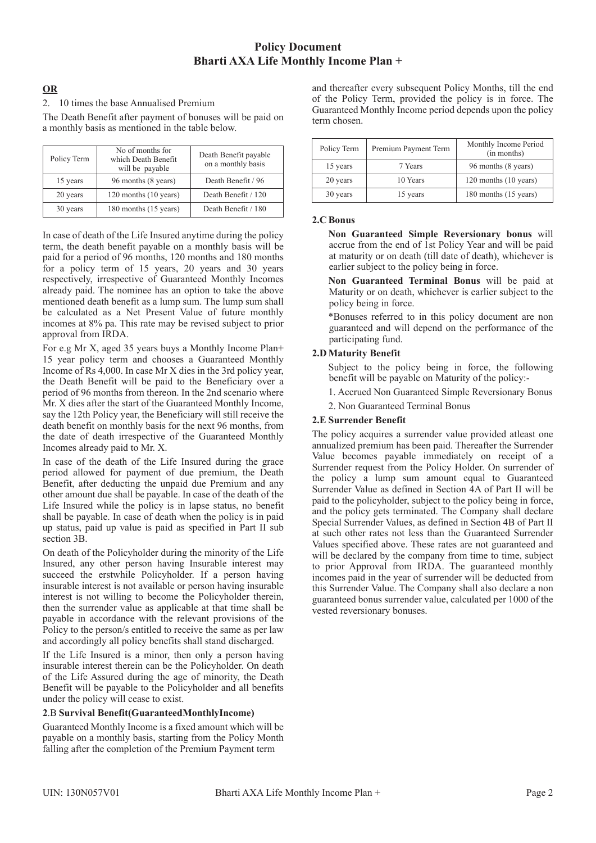## **OR**

#### 2. 10 times the base Annualised Premium

The Death Benefit after payment of bonuses will be paid on a monthly basis as mentioned in the table below.

| Policy Term | No of months for<br>which Death Benefit<br>will be payable | Death Benefit payable<br>on a monthly basis |
|-------------|------------------------------------------------------------|---------------------------------------------|
| 15 years    | 96 months (8 years)                                        | Death Benefit / 96                          |
| 20 years    | 120 months (10 years)                                      | Death Benefit / 120                         |
| 30 years    | 180 months (15 years)                                      | Death Benefit / 180                         |

In case of death of the Life Insured anytime during the policy term, the death benefit payable on a monthly basis will be paid for a period of 96 months, 120 months and 180 months for a policy term of 15 years, 20 years and 30 years respectively, irrespective of Guaranteed Monthly Incomes already paid. The nominee has an option to take the above mentioned death benefit as a lump sum. The lump sum shall be calculated as a Net Present Value of future monthly incomes at 8% pa. This rate may be revised subject to prior approval from IRDA.

For e.g Mr X, aged 35 years buys a Monthly Income Plan+ 15 year policy term and chooses a Guaranteed Monthly Income of Rs 4,000. In case Mr X dies in the 3rd policy year, the Death Benefit will be paid to the Beneficiary over a period of 96 months from thereon. In the 2nd scenario where Mr. X dies after the start of the Guaranteed Monthly Income, say the 12th Policy year, the Beneficiary will still receive the death benefit on monthly basis for the next 96 months, from the date of death irrespective of the Guaranteed Monthly Incomes already paid to Mr. X.

In case of the death of the Life Insured during the grace period allowed for payment of due premium, the Death Benefit, after deducting the unpaid due Premium and any other amount due shall be payable. In case of the death of the Life Insured while the policy is in lapse status, no benefit shall be payable. In case of death when the policy is in paid up status, paid up value is paid as specified in Part II sub section 3B.

On death of the Policyholder during the minority of the Life Insured, any other person having Insurable interest may succeed the erstwhile Policyholder. If a person having insurable interest is not available or person having insurable interest is not willing to become the Policyholder therein, then the surrender value as applicable at that time shall be payable in accordance with the relevant provisions of the Policy to the person/s entitled to receive the same as per law and accordingly all policy benefits shall stand discharged.

If the Life Insured is a minor, then only a person having insurable interest therein can be the Policyholder. On death of the Life Assured during the age of minority, the Death Benefit will be payable to the Policyholder and all benefits under the policy will cease to exist.

### **2**.B **Survival Benefit(GuaranteedMonthlyIncome)**

Guaranteed Monthly Income is a fixed amount which will be payable on a monthly basis, starting from the Policy Month falling after the completion of the Premium Payment term

and thereafter every subsequent Policy Months, till the end of the Policy Term, provided the policy is in force. The Guaranteed Monthly Income period depends upon the policy term chosen.

| Policy Term | Premium Payment Term | Monthly Income Period<br>(in months) |  |
|-------------|----------------------|--------------------------------------|--|
| 15 years    | 7 Years              | 96 months (8 years)                  |  |
| 20 years    | 10 Years             | 120 months (10 years)                |  |
| 30 years    | 15 years             | 180 months (15 years)                |  |

### **2.C Bonus**

**Non Guaranteed Simple Reversionary bonus** will accrue from the end of 1st Policy Year and will be paid at maturity or on death (till date of death), whichever is earlier subject to the policy being in force.

**Non Guaranteed Terminal Bonus** will be paid at Maturity or on death, whichever is earlier subject to the policy being in force.

\*Bonuses referred to in this policy document are non guaranteed and will depend on the performance of the participating fund.

### **2.D Maturity Benefit**

Subject to the policy being in force, the following benefit will be payable on Maturity of the policy:-

- 1. Accrued Non Guaranteed Simple Reversionary Bonus
- 2. Non Guaranteed Terminal Bonus

### **2.E Surrender Benefit**

The policy acquires a surrender value provided atleast one annualized premium has been paid. Thereafter the Surrender Value becomes payable immediately on receipt of a Surrender request from the Policy Holder. On surrender of the policy a lump sum amount equal to Guaranteed Surrender Value as defined in Section 4A of Part II will be paid to the policyholder, subject to the policy being in force, and the policy gets terminated. The Company shall declare Special Surrender Values, as defined in Section 4B of Part II at such other rates not less than the Guaranteed Surrender Values specified above. These rates are not guaranteed and will be declared by the company from time to time, subject to prior Approval from IRDA. The guaranteed monthly incomes paid in the year of surrender will be deducted from this Surrender Value. The Company shall also declare a non guaranteed bonus surrender value, calculated per 1000 of the vested reversionary bonuses.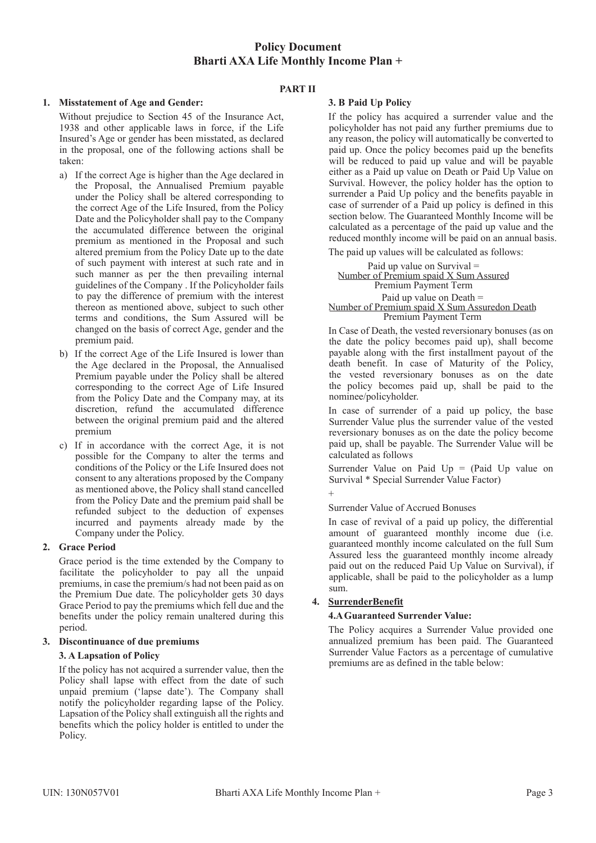### **PART II**

### **1. Misstatement of Age and Gender:**

Without prejudice to Section 45 of the Insurance Act, 1938 and other applicable laws in force, if the Life Insured's Age or gender has been misstated, as declared in the proposal, one of the following actions shall be taken:

- a) If the correct Age is higher than the Age declared in the Proposal, the Annualised Premium payable under the Policy shall be altered corresponding to the correct Age of the Life Insured, from the Policy Date and the Policyholder shall pay to the Company the accumulated difference between the original premium as mentioned in the Proposal and such altered premium from the Policy Date up to the date of such payment with interest at such rate and in such manner as per the then prevailing internal guidelines of the Company . If the Policyholder fails to pay the difference of premium with the interest thereon as mentioned above, subject to such other terms and conditions, the Sum Assured will be changed on the basis of correct Age, gender and the premium paid.
- b) If the correct Age of the Life Insured is lower than the Age declared in the Proposal, the Annualised Premium payable under the Policy shall be altered corresponding to the correct Age of Life Insured from the Policy Date and the Company may, at its discretion, refund the accumulated difference between the original premium paid and the altered premium
- c) If in accordance with the correct Age, it is not possible for the Company to alter the terms and conditions of the Policy or the Life Insured does not consent to any alterations proposed by the Company as mentioned above, the Policy shall stand cancelled from the Policy Date and the premium paid shall be refunded subject to the deduction of expenses incurred and payments already made by the Company under the Policy.

### **2. Grace Period**

Grace period is the time extended by the Company to facilitate the policyholder to pay all the unpaid premiums, in case the premium/s had not been paid as on the Premium Due date. The policyholder gets 30 days Grace Period to pay the premiums which fell due and the benefits under the policy remain unaltered during this period.

#### **3. Discontinuance of due premiums**

### **3. A Lapsation of Policy**

If the policy has not acquired a surrender value, then the Policy shall lapse with effect from the date of such unpaid premium ('lapse date'). The Company shall notify the policyholder regarding lapse of the Policy. Lapsation of the Policy shall extinguish all the rights and benefits which the policy holder is entitled to under the Policy.

### **3. B Paid Up Policy**

If the policy has acquired a surrender value and the policyholder has not paid any further premiums due to any reason, the policy will automatically be converted to paid up. Once the policy becomes paid up the benefits will be reduced to paid up value and will be payable either as a Paid up value on Death or Paid Up Value on Survival. However, the policy holder has the option to surrender a Paid Up policy and the benefits payable in case of surrender of a Paid up policy is defined in this section below. The Guaranteed Monthly Income will be calculated as a percentage of the paid up value and the reduced monthly income will be paid on an annual basis.

The paid up values will be calculated as follows:

Paid up value on Survival = Number of Premium spaid X Sum Assured Premium Payment Term Paid up value on Death = Number of Premium spaid X Sum Assuredon Death Premium Payment Term

In Case of Death, the vested reversionary bonuses (as on the date the policy becomes paid up), shall become payable along with the first installment payout of the death benefit. In case of Maturity of the Policy, the vested reversionary bonuses as on the date the policy becomes paid up, shall be paid to the nominee/policyholder.

In case of surrender of a paid up policy, the base Surrender Value plus the surrender value of the vested reversionary bonuses as on the date the policy become paid up, shall be payable. The Surrender Value will be calculated as follows

Surrender Value on Paid  $Up = (Paid Up value on$ Survival \* Special Surrender Value Factor)

#### Surrender Value of Accrued Bonuses

In case of revival of a paid up policy, the differential amount of guaranteed monthly income due (i.e. guaranteed monthly income calculated on the full Sum Assured less the guaranteed monthly income already paid out on the reduced Paid Up Value on Survival), if applicable, shall be paid to the policyholder as a lump sum.

### **4. SurrenderBenefit**

 $+$ 

### **4.A Guaranteed Surrender Value:**

The Policy acquires a Surrender Value provided one annualized premium has been paid. The Guaranteed Surrender Value Factors as a percentage of cumulative premiums are as defined in the table below: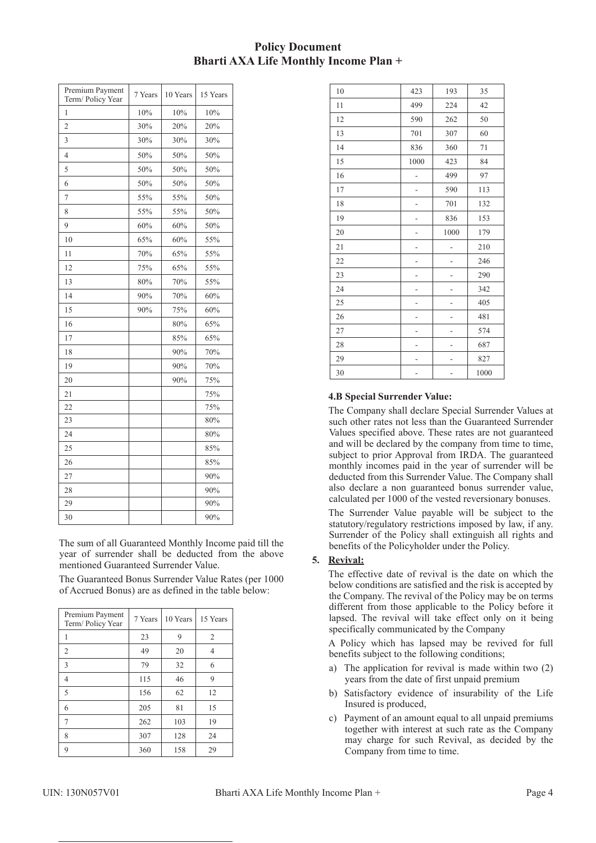| Premium Payment<br>Term/Policy Year | 7 Years | 10 Years | 15 Years |
|-------------------------------------|---------|----------|----------|
| 1                                   | 10%     | 10%      | 10%      |
| 2                                   | 30%     | 20%      | 20%      |
| 3                                   | 30%     | 30%      | 30%      |
| 4                                   | 50%     | 50%      | 50%      |
| 5                                   | 50%     | 50%      | 50%      |
| 6                                   | 50%     | 50%      | 50%      |
| 7                                   | 55%     | 55%      | 50%      |
| 8                                   | 55%     | 55%      | 50%      |
| 9                                   | 60%     | 60%      | 50%      |
| 10                                  | 65%     | 60%      | 55%      |
| 11                                  | 70%     | 65%      | 55%      |
| 12                                  | 75%     | 65%      | 55%      |
| 13                                  | 80%     | 70%      | 55%      |
| 14                                  | 90%     | 70%      | 60%      |
| 15                                  | 90%     | 75%      | 60%      |
| 16                                  |         | 80%      | 65%      |
| 17                                  |         | 85%      | 65%      |
| 18                                  |         | 90%      | 70%      |
| 19                                  |         | 90%      | 70%      |
| 20                                  |         | 90%      | 75%      |
| 21                                  |         |          | 75%      |
| 22                                  |         |          | 75%      |
| 23                                  |         |          | 80%      |
| 24                                  |         |          | 80%      |
| 25                                  |         |          | 85%      |
| 26                                  |         |          | 85%      |
| 27                                  |         |          | 90%      |
| 28                                  |         |          | 90%      |
| 29                                  |         |          | 90%      |
| 30                                  |         |          | 90%      |

 The sum of all Guaranteed Monthly Income paid till the year of surrender shall be deducted from the above mentioned Guaranteed Surrender Value.

 The Guaranteed Bonus Surrender Value Rates (per 1000 of Accrued Bonus) are as defined in the table below:

| Premium Payment<br>Term/Policy Year | 7 Years | 10 Years | 15 Years       |
|-------------------------------------|---------|----------|----------------|
|                                     | 23      | 9        | $\overline{c}$ |
| 2                                   | 49      | 20       | 4              |
| 3                                   | 79      | 32       | 6              |
| 4                                   | 115     | 46       | 9              |
| 5                                   | 156     | 62       | 12             |
| 6                                   | 205     | 81       | 15             |
| 7                                   | 262     | 103      | 19             |
| 8                                   | 307     | 128      | 24             |
| 9                                   | 360     | 158      | 29             |

| 10 | 423  | 193  | 35   |
|----|------|------|------|
| 11 | 499  | 224  | 42   |
| 12 | 590  | 262  | 50   |
| 13 | 701  | 307  | 60   |
| 14 | 836  | 360  | 71   |
| 15 | 1000 | 423  | 84   |
| 16 |      | 499  | 97   |
| 17 |      | 590  | 113  |
| 18 | -    | 701  | 132  |
| 19 |      | 836  | 153  |
| 20 |      | 1000 | 179  |
| 21 |      |      | 210  |
| 22 |      |      | 246  |
| 23 |      | -    | 290  |
| 24 |      |      | 342  |
| 25 |      |      | 405  |
| 26 |      |      | 481  |
| 27 |      |      | 574  |
| 28 | ۰    | ۰    | 687  |
| 29 |      |      | 827  |
| 30 |      |      | 1000 |

## **4.B Special Surrender Value:**

 The Company shall declare Special Surrender Values at such other rates not less than the Guaranteed Surrender Values specified above. These rates are not guaranteed and will be declared by the company from time to time, subject to prior Approval from IRDA. The guaranteed monthly incomes paid in the year of surrender will be deducted from this Surrender Value. The Company shall also declare a non guaranteed bonus surrender value, calculated per 1000 of the vested reversionary bonuses.

 The Surrender Value payable will be subject to the statutory/regulatory restrictions imposed by law, if any. Surrender of the Policy shall extinguish all rights and benefits of the Policyholder under the Policy.

## **5. Revival:**

 The effective date of revival is the date on which the below conditions are satisfied and the risk is accepted by the Company. The revival of the Policy may be on terms different from those applicable to the Policy before it lapsed. The revival will take effect only on it being specifically communicated by the Company

 A Policy which has lapsed may be revived for full benefits subject to the following conditions;

- a) The application for revival is made within two (2) years from the date of first unpaid premium
- b) Satisfactory evidence of insurability of the Life Insured is produced,
- c) Payment of an amount equal to all unpaid premiums together with interest at such rate as the Company may charge for such Revival, as decided by the Company from time to time.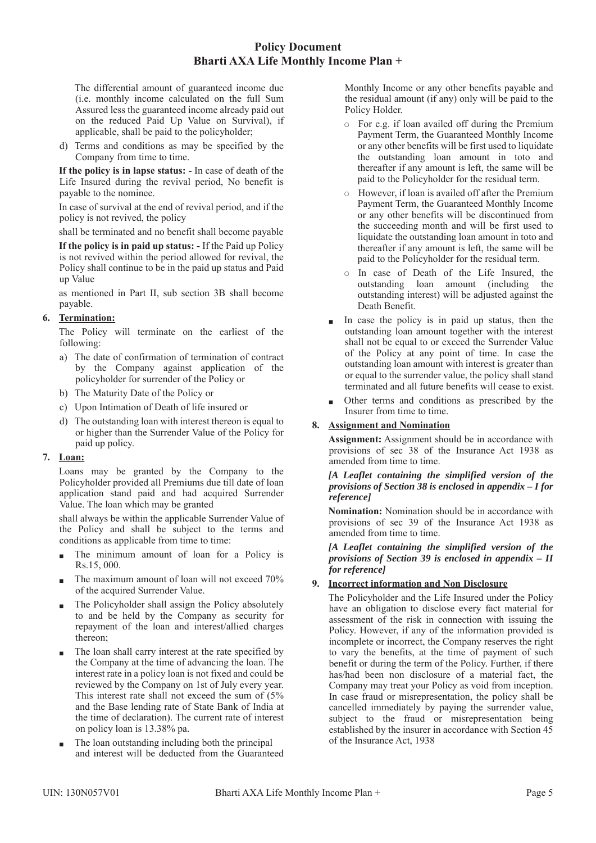The differential amount of guaranteed income due (i.e. monthly income calculated on the full Sum Assured less the guaranteed income already paid out on the reduced Paid Up Value on Survival), if applicable, shall be paid to the policyholder;

 d) Terms and conditions as may be specified by the Company from time to time.

 **If the policy is in lapse status: -** In case of death of the Life Insured during the revival period, No benefit is payable to the nominee.

 In case of survival at the end of revival period, and if the policy is not revived, the policy

shall be terminated and no benefit shall become payable

 **If the policy is in paid up status: -** If the Paid up Policy is not revived within the period allowed for revival, the Policy shall continue to be in the paid up status and Paid up Value

 as mentioned in Part II, sub section 3B shall become payable.

## **6. Termination:**

 The Policy will terminate on the earliest of the following:

- a) The date of confirmation of termination of contract by the Company against application of the policyholder for surrender of the Policy or
- b) The Maturity Date of the Policy or
- c) Upon Intimation of Death of life insured or
- d) The outstanding loan with interest thereon is equal to or higher than the Surrender Value of the Policy for paid up policy.

### **7. Loan:**

 Loans may be granted by the Company to the Policyholder provided all Premiums due till date of loan application stand paid and had acquired Surrender Value. The loan which may be granted

 shall always be within the applicable Surrender Value of the Policy and shall be subject to the terms and conditions as applicable from time to time:

- The minimum amount of loan for a Policy is Rs.15, 000.
- $\blacksquare$  The maximum amount of loan will not exceed 70% of the acquired Surrender Value.
- The Policyholder shall assign the Policy absolutely to and be held by the Company as security for repayment of the loan and interest/allied charges thereon;
- The loan shall carry interest at the rate specified by the Company at the time of advancing the loan. The interest rate in a policy loan is not fixed and could be reviewed by the Company on 1st of July every year. This interest rate shall not exceed the sum of (5% and the Base lending rate of State Bank of India at the time of declaration). The current rate of interest on policy loan is 13.38% pa.
- The loan outstanding including both the principal and interest will be deducted from the Guaranteed

Monthly Income or any other benefits payable and the residual amount (if any) only will be paid to the Policy Holder.

- $\circ$  For e.g. if loan availed off during the Premium Payment Term, the Guaranteed Monthly Income or any other benefits will be first used to liquidate the outstanding loan amount in toto and thereafter if any amount is left, the same will be paid to the Policyholder for the residual term.
- $\circ$  However, if loan is availed off after the Premium Payment Term, the Guaranteed Monthly Income or any other benefits will be discontinued from the succeeding month and will be first used to liquidate the outstanding loan amount in toto and thereafter if any amount is left, the same will be paid to the Policyholder for the residual term.
- In case of Death of the Life Insured, the outstanding loan amount (including the outstanding interest) will be adjusted against the Death Benefit.
- In case the policy is in paid up status, then the outstanding loan amount together with the interest shall not be equal to or exceed the Surrender Value of the Policy at any point of time. In case the outstanding loan amount with interest is greater than or equal to the surrender value, the policy shall stand terminated and all future benefits will cease to exist.
- Other terms and conditions as prescribed by the Insurer from time to time.

### **8. Assignment and Nomination**

**Assignment:** Assignment should be in accordance with provisions of sec 38 of the Insurance Act 1938 as amended from time to time.

*[A Leaflet containing the simplified version of the provisions of Section 38 is enclosed in appendix – I for reference]*

**Nomination:** Nomination should be in accordance with provisions of sec 39 of the Insurance Act 1938 as amended from time to time.

*[A Leaflet containing the simplified version of the provisions of Section 39 is enclosed in appendix – II for reference]*

## **9. Incorrect information and Non Disclosure**

 The Policyholder and the Life Insured under the Policy have an obligation to disclose every fact material for assessment of the risk in connection with issuing the Policy. However, if any of the information provided is incomplete or incorrect, the Company reserves the right to vary the benefits, at the time of payment of such benefit or during the term of the Policy. Further, if there has/had been non disclosure of a material fact, the Company may treat your Policy as void from inception. In case fraud or misrepresentation, the policy shall be cancelled immediately by paying the surrender value, subject to the fraud or misrepresentation being established by the insurer in accordance with Section 45 of the Insurance Act, 1938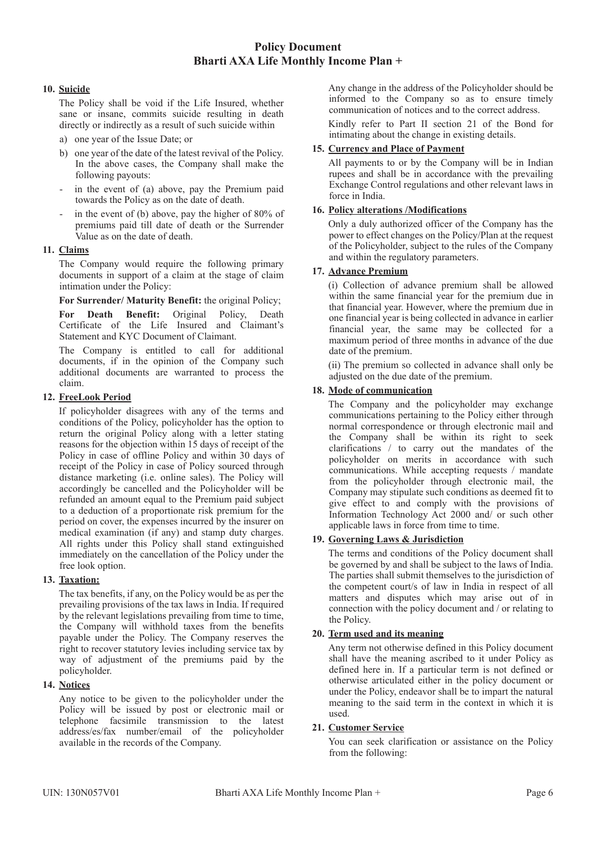### **10. Suicide**

 The Policy shall be void if the Life Insured, whether sane or insane, commits suicide resulting in death directly or indirectly as a result of such suicide within

- a) one year of the Issue Date; or
- b) one year of the date of the latest revival of the Policy. In the above cases, the Company shall make the following payouts:
- in the event of (a) above, pay the Premium paid towards the Policy as on the date of death.
- in the event of (b) above, pay the higher of  $80\%$  of premiums paid till date of death or the Surrender Value as on the date of death.

## **11. Claims**

The Company would require the following primary documents in support of a claim at the stage of claim intimation under the Policy:

**For Surrender/ Maturity Benefit:** the original Policy;

**For Death Benefit:** Original Policy, Death Certificate of the Life Insured and Claimant's Statement and KYC Document of Claimant.

 The Company is entitled to call for additional documents, if in the opinion of the Company such additional documents are warranted to process the claim.

## **12. FreeLook Period**

 If policyholder disagrees with any of the terms and conditions of the Policy, policyholder has the option to return the original Policy along with a letter stating reasons for the objection within 15 days of receipt of the Policy in case of offline Policy and within 30 days of receipt of the Policy in case of Policy sourced through distance marketing (i.e. online sales). The Policy will accordingly be cancelled and the Policyholder will be refunded an amount equal to the Premium paid subject to a deduction of a proportionate risk premium for the period on cover, the expenses incurred by the insurer on medical examination (if any) and stamp duty charges. All rights under this Policy shall stand extinguished immediately on the cancellation of the Policy under the free look option.

## **13. Taxation:**

 The tax benefits, if any, on the Policy would be as per the prevailing provisions of the tax laws in India. If required by the relevant legislations prevailing from time to time, the Company will withhold taxes from the benefits payable under the Policy. The Company reserves the right to recover statutory levies including service tax by way of adjustment of the premiums paid by the policyholder.

## **14. Notices**

 Any notice to be given to the policyholder under the Policy will be issued by post or electronic mail or telephone facsimile transmission to the latest address/es/fax number/email of the policyholder available in the records of the Company.

 Any change in the address of the Policyholder should be informed to the Company so as to ensure timely communication of notices and to the correct address.

 Kindly refer to Part II section 21 of the Bond for intimating about the change in existing details.

### **15. Currency and Place of Payment**

 All payments to or by the Company will be in Indian rupees and shall be in accordance with the prevailing Exchange Control regulations and other relevant laws in force in India.

## **16. Policy alterations /Modifications**

 Only a duly authorized officer of the Company has the power to effect changes on the Policy/Plan at the request of the Policyholder, subject to the rules of the Company and within the regulatory parameters.

## **17. Advance Premium**

 (i) Collection of advance premium shall be allowed within the same financial year for the premium due in that financial year. However, where the premium due in one financial year is being collected in advance in earlier financial year, the same may be collected for a maximum period of three months in advance of the due date of the premium.

 (ii) The premium so collected in advance shall only be adjusted on the due date of the premium.

## **18. Mode of communication**

 The Company and the policyholder may exchange communications pertaining to the Policy either through normal correspondence or through electronic mail and the Company shall be within its right to seek clarifications / to carry out the mandates of the policyholder on merits in accordance with such communications. While accepting requests / mandate from the policyholder through electronic mail, the Company may stipulate such conditions as deemed fit to give effect to and comply with the provisions of Information Technology Act 2000 and/ or such other applicable laws in force from time to time.

## **19. Governing Laws & Jurisdiction**

 The terms and conditions of the Policy document shall be governed by and shall be subject to the laws of India. The parties shall submit themselves to the jurisdiction of the competent court/s of law in India in respect of all matters and disputes which may arise out of in connection with the policy document and / or relating to the Policy.

## **20. Term used and its meaning**

 Any term not otherwise defined in this Policy document shall have the meaning ascribed to it under Policy as defined here in. If a particular term is not defined or otherwise articulated either in the policy document or under the Policy, endeavor shall be to impart the natural meaning to the said term in the context in which it is used.

## **21. Customer Service**

 You can seek clarification or assistance on the Policy from the following: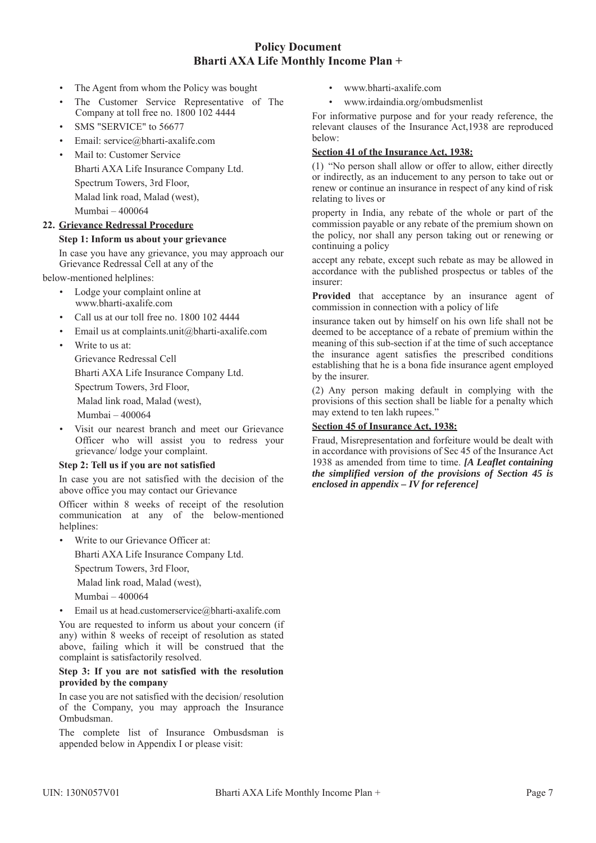- The Agent from whom the Policy was bought
- The Customer Service Representative of The Company at toll free no. 1800 102 4444
- SMS "SERVICE" to 56677
- Email: service@bharti-axalife.com
- Mail to: Customer Service Bharti AXA Life Insurance Company Ltd. Spectrum Towers, 3rd Floor, Malad link road, Malad (west), Mumbai – 400064

### **22. Grievance Redressal Procedure**

#### **Step 1: Inform us about your grievance**

 In case you have any grievance, you may approach our Grievance Redressal Cell at any of the

below-mentioned helplines:

- Lodge your complaint online at www.bharti-axalife.com
- Call us at our toll free no. 1800 102 4444
- Email us at complaints.unit@bharti-axalife.com
- Write to us at:

 Grievance Redressal Cell Bharti AXA Life Insurance Company Ltd. Spectrum Towers, 3rd Floor,

Malad link road, Malad (west),

Mumbai – 400064

Visit our nearest branch and meet our Grievance Officer who will assist you to redress your grievance/ lodge your complaint.

### **Step 2: Tell us if you are not satisfied**

 In case you are not satisfied with the decision of the above office you may contact our Grievance

 Officer within 8 weeks of receipt of the resolution communication at any of the below-mentioned helplines:

Write to our Grievance Officer at:

Bharti AXA Life Insurance Company Ltd.

Spectrum Towers, 3rd Floor,

Malad link road, Malad (west),

- Mumbai 400064
- Email us at head.customerservice@bharti-axalife.com

 You are requested to inform us about your concern (if any) within 8 weeks of receipt of resolution as stated above, failing which it will be construed that the complaint is satisfactorily resolved.

#### **Step 3: If you are not satisfied with the resolution provided by the company**

 In case you are not satisfied with the decision/ resolution of the Company, you may approach the Insurance Ombudsman.

 The complete list of Insurance Ombusdsman is appended below in Appendix I or please visit:

- www.bharti-axalife.com
- www.irdaindia.org/ombudsmenlist

For informative purpose and for your ready reference, the relevant clauses of the Insurance Act,1938 are reproduced below:

#### **Section 41 of the Insurance Act, 1938:**

(1) "No person shall allow or offer to allow, either directly or indirectly, as an inducement to any person to take out or renew or continue an insurance in respect of any kind of risk relating to lives or

property in India, any rebate of the whole or part of the commission payable or any rebate of the premium shown on the policy, nor shall any person taking out or renewing or continuing a policy

accept any rebate, except such rebate as may be allowed in accordance with the published prospectus or tables of the insurer:

**Provided** that acceptance by an insurance agent of commission in connection with a policy of life

insurance taken out by himself on his own life shall not be deemed to be acceptance of a rebate of premium within the meaning of this sub-section if at the time of such acceptance the insurance agent satisfies the prescribed conditions establishing that he is a bona fide insurance agent employed by the insurer.

(2) Any person making default in complying with the provisions of this section shall be liable for a penalty which may extend to ten lakh rupees."

### **Section 45 of Insurance Act, 1938:**

Fraud, Misrepresentation and forfeiture would be dealt with in accordance with provisions of Sec 45 of the Insurance Act 1938 as amended from time to time. *[A Leaflet containing the simplified version of the provisions of Section 45 is enclosed in appendix – IV for reference]*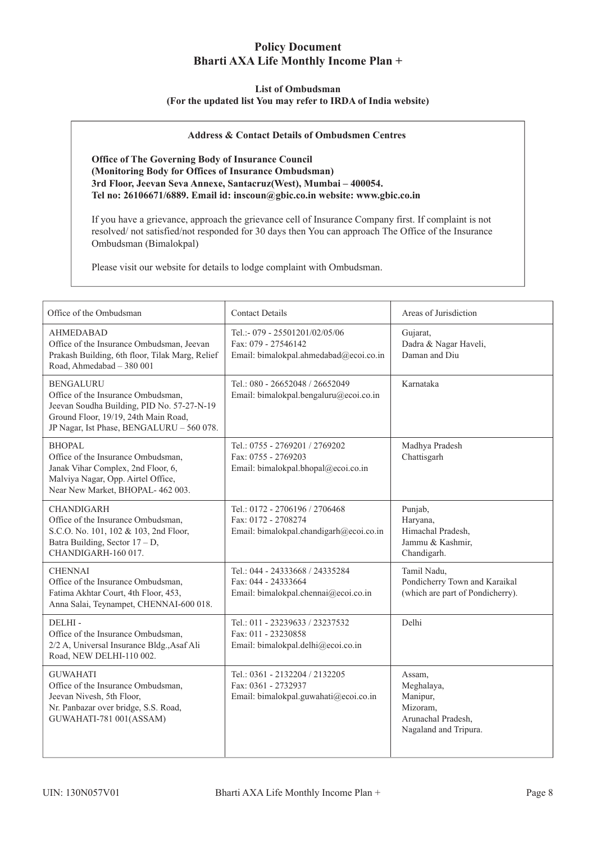#### **List of Ombudsman**

#### **(For the updated list You may refer to IRDA of India website)**

#### **Address & Contact Details of Ombudsmen Centres**

**Office of The Governing Body of Insurance Council (Monitoring Body for Offices of Insurance Ombudsman) 3rd Floor, Jeevan Seva Annexe, Santacruz(West), Mumbai – 400054. Tel no: 26106671/6889. Email id: inscoun@gbic.co.in website: www.gbic.co.in**

If you have a grievance, approach the grievance cell of Insurance Company first. If complaint is not resolved/ not satisfied/not responded for 30 days then You can approach The Office of the Insurance Ombudsman (Bimalokpal)

Please visit our website for details to lodge complaint with Ombudsman.

| Office of the Ombudsman                                                                                                                                                                   | <b>Contact Details</b>                                                                           | Areas of Jurisdiction                                                                       |
|-------------------------------------------------------------------------------------------------------------------------------------------------------------------------------------------|--------------------------------------------------------------------------------------------------|---------------------------------------------------------------------------------------------|
| <b>AHMEDABAD</b><br>Office of the Insurance Ombudsman, Jeevan<br>Prakash Building, 6th floor, Tilak Marg, Relief<br>Road, Ahmedabad - 380 001                                             | Tel.:- 079 - 25501201/02/05/06<br>Fax: 079 - 27546142<br>Email: bimalokpal.ahmedabad@ecoi.co.in  | Gujarat,<br>Dadra & Nagar Haveli,<br>Daman and Diu                                          |
| <b>BENGALURU</b><br>Office of the Insurance Ombudsman,<br>Jeevan Soudha Building, PID No. 57-27-N-19<br>Ground Floor, 19/19, 24th Main Road,<br>JP Nagar, Ist Phase, BENGALURU - 560 078. | Tel.: 080 - 26652048 / 26652049<br>Email: bimalokpal.bengaluru@ecoi.co.in                        | Karnataka                                                                                   |
| <b>BHOPAL</b><br>Office of the Insurance Ombudsman,<br>Janak Vihar Complex, 2nd Floor, 6,<br>Malviya Nagar, Opp. Airtel Office,<br>Near New Market, BHOPAL- 462 003.                      | Tel.: 0755 - 2769201 / 2769202<br>Fax: 0755 - 2769203<br>Email: bimalokpal.bhopal@ecoi.co.in     | Madhya Pradesh<br>Chattisgarh                                                               |
| <b>CHANDIGARH</b><br>Office of the Insurance Ombudsman,<br>S.C.O. No. 101, 102 & 103, 2nd Floor,<br>Batra Building, Sector $17 - D$ ,<br>CHANDIGARH-160 017.                              | Tel.: 0172 - 2706196 / 2706468<br>Fax: 0172 - 2708274<br>Email: bimalokpal.chandigarh@ecoi.co.in | Punjab,<br>Haryana,<br>Himachal Pradesh,<br>Jammu & Kashmir,<br>Chandigarh.                 |
| <b>CHENNAI</b><br>Office of the Insurance Ombudsman,<br>Fatima Akhtar Court, 4th Floor, 453,<br>Anna Salai, Teynampet, CHENNAI-600 018.                                                   | Tel: 044 - 24333668 / 24335284<br>Fax: 044 - 24333664<br>Email: bimalokpal.chennai@ecoi.co.in    | Tamil Nadu,<br>Pondicherry Town and Karaikal<br>(which are part of Pondicherry).            |
| DELHI-<br>Office of the Insurance Ombudsman,<br>2/2 A, Universal Insurance Bldg., Asaf Ali<br>Road, NEW DELHI-110 002.                                                                    | Tel.: 011 - 23239633 / 23237532<br>Fax: 011 - 23230858<br>Email: bimalokpal.delhi@ecoi.co.in     | Delhi                                                                                       |
| <b>GUWAHATI</b><br>Office of the Insurance Ombudsman,<br>Jeevan Nivesh, 5th Floor,<br>Nr. Panbazar over bridge, S.S. Road,<br>GUWAHATI-781 001(ASSAM)                                     | Tel.: 0361 - 2132204 / 2132205<br>Fax: 0361 - 2732937<br>Email: bimalokpal.guwahati@ecoi.co.in   | Assam,<br>Meghalaya,<br>Manipur,<br>Mizoram,<br>Arunachal Pradesh,<br>Nagaland and Tripura. |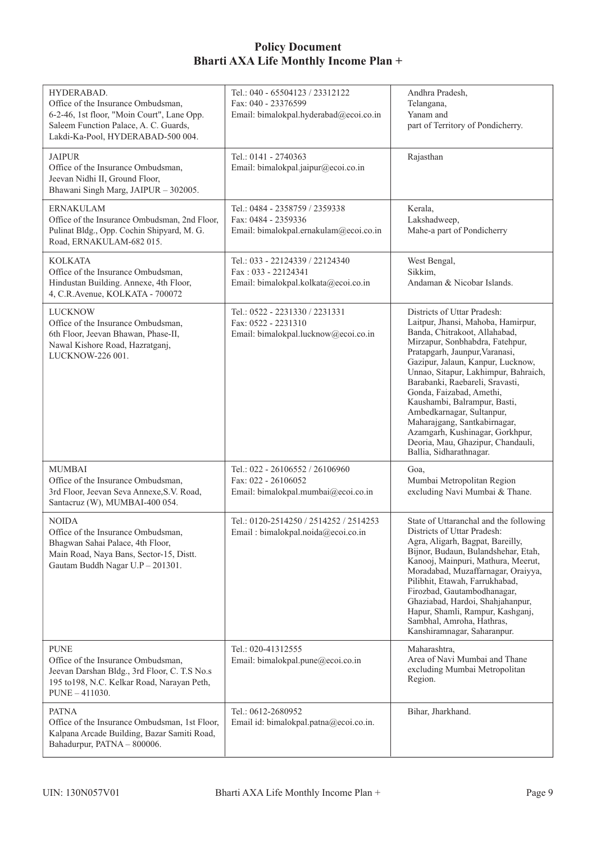| HYDERABAD.<br>Office of the Insurance Ombudsman,<br>6-2-46, 1st floor, "Moin Court", Lane Opp.<br>Saleem Function Palace, A. C. Guards,<br>Lakdi-Ka-Pool, HYDERABAD-500 004. | Tel.: 040 - 65504123 / 23312122<br>Fax: 040 - 23376599<br>Email: bimalokpal.hyderabad@ecoi.co.in | Andhra Pradesh,<br>Telangana,<br>Yanam and<br>part of Territory of Pondicherry.                                                                                                                                                                                                                                                                                                                                                                                                                                     |
|------------------------------------------------------------------------------------------------------------------------------------------------------------------------------|--------------------------------------------------------------------------------------------------|---------------------------------------------------------------------------------------------------------------------------------------------------------------------------------------------------------------------------------------------------------------------------------------------------------------------------------------------------------------------------------------------------------------------------------------------------------------------------------------------------------------------|
| <b>JAIPUR</b><br>Office of the Insurance Ombudsman,<br>Jeevan Nidhi II, Ground Floor,<br>Bhawani Singh Marg, JAIPUR - 302005.                                                | Tel.: 0141 - 2740363<br>Email: bimalokpal.jaipur@ecoi.co.in                                      | Rajasthan                                                                                                                                                                                                                                                                                                                                                                                                                                                                                                           |
| <b>ERNAKULAM</b><br>Office of the Insurance Ombudsman, 2nd Floor,<br>Pulinat Bldg., Opp. Cochin Shipyard, M. G.<br>Road, ERNAKULAM-682 015.                                  | Tel.: 0484 - 2358759 / 2359338<br>Fax: 0484 - 2359336<br>Email: bimalokpal.ernakulam@ecoi.co.in  | Kerala,<br>Lakshadweep,<br>Mahe-a part of Pondicherry                                                                                                                                                                                                                                                                                                                                                                                                                                                               |
| <b>KOLKATA</b><br>Office of the Insurance Ombudsman,<br>Hindustan Building. Annexe, 4th Floor,<br>4, C.R.Avenue, KOLKATA - 700072                                            | Tel.: 033 - 22124339 / 22124340<br>Fax: 033 - 22124341<br>Email: bimalokpal.kolkata@ecoi.co.in   | West Bengal,<br>Sikkim,<br>Andaman & Nicobar Islands.                                                                                                                                                                                                                                                                                                                                                                                                                                                               |
| <b>LUCKNOW</b><br>Office of the Insurance Ombudsman,<br>6th Floor, Jeevan Bhawan, Phase-II,<br>Nawal Kishore Road, Hazratganj,<br>LUCKNOW-226 001.                           | Tel.: 0522 - 2231330 / 2231331<br>Fax: 0522 - 2231310<br>Email: bimalokpal.lucknow@ecoi.co.in    | Districts of Uttar Pradesh:<br>Laitpur, Jhansi, Mahoba, Hamirpur,<br>Banda, Chitrakoot, Allahabad,<br>Mirzapur, Sonbhabdra, Fatehpur,<br>Pratapgarh, Jaunpur, Varanasi,<br>Gazipur, Jalaun, Kanpur, Lucknow,<br>Unnao, Sitapur, Lakhimpur, Bahraich,<br>Barabanki, Raebareli, Sravasti,<br>Gonda, Faizabad, Amethi,<br>Kaushambi, Balrampur, Basti,<br>Ambedkarnagar, Sultanpur,<br>Maharajgang, Santkabirnagar,<br>Azamgarh, Kushinagar, Gorkhpur,<br>Deoria, Mau, Ghazipur, Chandauli,<br>Ballia, Sidharathnagar. |
| <b>MUMBAI</b><br>Office of the Insurance Ombudsman,<br>3rd Floor, Jeevan Seva Annexe, S.V. Road,<br>Santacruz (W), MUMBAI-400 054.                                           | Tel.: 022 - 26106552 / 26106960<br>Fax: 022 - 26106052<br>Email: bimalokpal.mumbai@ecoi.co.in    | Goa.<br>Mumbai Metropolitan Region<br>excluding Navi Mumbai & Thane.                                                                                                                                                                                                                                                                                                                                                                                                                                                |
| <b>NOIDA</b><br>Office of the Insurance Ombudsman,<br>Bhagwan Sahai Palace, 4th Floor,<br>Main Road, Naya Bans, Sector-15, Distt.<br>Gautam Buddh Nagar U.P - 201301.        | Tel.: 0120-2514250 / 2514252 / 2514253<br>Email: bimalokpal.noida@ecoi.co.in                     | State of Uttaranchal and the following<br>Districts of Uttar Pradesh:<br>Agra, Aligarh, Bagpat, Bareilly,<br>Bijnor, Budaun, Bulandshehar, Etah,<br>Kanooj, Mainpuri, Mathura, Meerut,<br>Moradabad, Muzaffarnagar, Oraiyya,<br>Pilibhit, Etawah, Farrukhabad,<br>Firozbad, Gautambodhanagar,<br>Ghaziabad, Hardoi, Shahjahanpur,<br>Hapur, Shamli, Rampur, Kashganj,<br>Sambhal, Amroha, Hathras,<br>Kanshiramnagar, Saharanpur.                                                                                   |
| <b>PUNE</b><br>Office of the Insurance Ombudsman,<br>Jeevan Darshan Bldg., 3rd Floor, C. T.S No.s<br>195 to 198, N.C. Kelkar Road, Narayan Peth,<br>$PUNE - 411030.$         | Tel.: 020-41312555<br>Email: bimalokpal.pune@ecoi.co.in                                          | Maharashtra,<br>Area of Navi Mumbai and Thane<br>excluding Mumbai Metropolitan<br>Region.                                                                                                                                                                                                                                                                                                                                                                                                                           |
| <b>PATNA</b><br>Office of the Insurance Ombudsman, 1st Floor,<br>Kalpana Arcade Building, Bazar Samiti Road,<br>Bahadurpur, PATNA - 800006.                                  | Tel.: 0612-2680952<br>Email id: bimalokpal.patna@ecoi.co.in.                                     | Bihar, Jharkhand.                                                                                                                                                                                                                                                                                                                                                                                                                                                                                                   |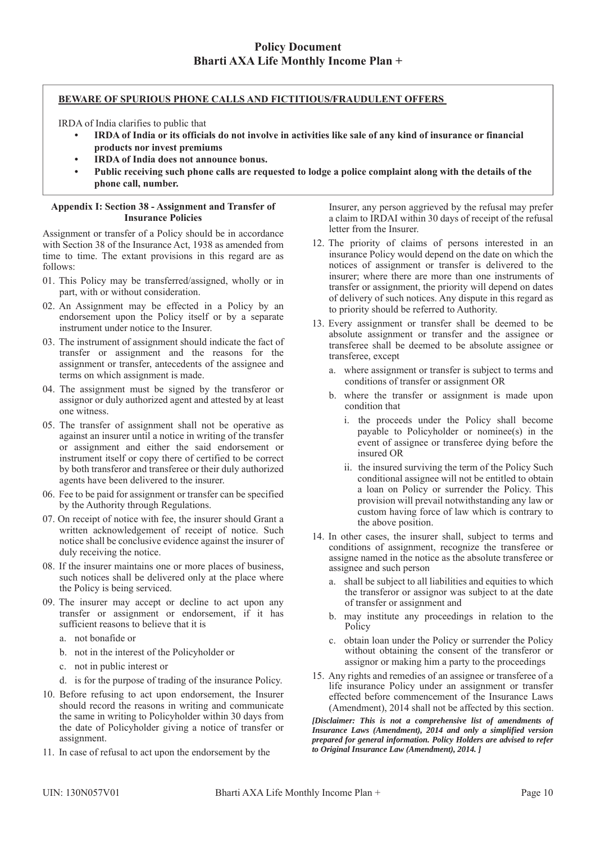### **BEWARE OF SPURIOUS PHONE CALLS AND FICTITIOUS/FRAUDULENT OFFERS**

IRDA of India clarifies to public that

- **IRDA of India or its officials do not involve in activities like sale of any kind of insurance or financial products nor invest premiums**
- **IRDA of India does not announce bonus.**
- **Public receiving such phone calls are requested to lodge a police complaint along with the details of the phone call, number.**

#### **Appendix I: Section 38 - Assignment and Transfer of Insurance Policies**

Assignment or transfer of a Policy should be in accordance with Section 38 of the Insurance Act, 1938 as amended from time to time. The extant provisions in this regard are as follows:

- 01. This Policy may be transferred/assigned, wholly or in part, with or without consideration.
- 02. An Assignment may be effected in a Policy by an endorsement upon the Policy itself or by a separate instrument under notice to the Insurer.
- 03. The instrument of assignment should indicate the fact of transfer or assignment and the reasons for the assignment or transfer, antecedents of the assignee and terms on which assignment is made.
- 04. The assignment must be signed by the transferor or assignor or duly authorized agent and attested by at least one witness.
- 05. The transfer of assignment shall not be operative as against an insurer until a notice in writing of the transfer or assignment and either the said endorsement or instrument itself or copy there of certified to be correct by both transferor and transferee or their duly authorized agents have been delivered to the insurer.
- 06. Fee to be paid for assignment or transfer can be specified by the Authority through Regulations.
- 07. On receipt of notice with fee, the insurer should Grant a written acknowledgement of receipt of notice. Such notice shall be conclusive evidence against the insurer of duly receiving the notice.
- 08. If the insurer maintains one or more places of business, such notices shall be delivered only at the place where the Policy is being serviced.
- 09. The insurer may accept or decline to act upon any transfer or assignment or endorsement, if it has sufficient reasons to believe that it is
	- a. not bonafide or
	- b. not in the interest of the Policyholder or
	- c. not in public interest or
	- d. is for the purpose of trading of the insurance Policy.
- 10. Before refusing to act upon endorsement, the Insurer should record the reasons in writing and communicate the same in writing to Policyholder within 30 days from the date of Policyholder giving a notice of transfer or assignment.
- 11. In case of refusal to act upon the endorsement by the

Insurer, any person aggrieved by the refusal may prefer a claim to IRDAI within 30 days of receipt of the refusal letter from the Insurer.

- 12. The priority of claims of persons interested in an insurance Policy would depend on the date on which the notices of assignment or transfer is delivered to the insurer; where there are more than one instruments of transfer or assignment, the priority will depend on dates of delivery of such notices. Any dispute in this regard as to priority should be referred to Authority.
- 13. Every assignment or transfer shall be deemed to be absolute assignment or transfer and the assignee or transferee shall be deemed to be absolute assignee or transferee, except
	- a. where assignment or transfer is subject to terms and conditions of transfer or assignment OR
	- b. where the transfer or assignment is made upon condition that
		- i. the proceeds under the Policy shall become payable to Policyholder or nominee(s) in the event of assignee or transferee dying before the insured OR
		- ii. the insured surviving the term of the Policy Such conditional assignee will not be entitled to obtain a loan on Policy or surrender the Policy. This provision will prevail notwithstanding any law or custom having force of law which is contrary to the above position.
- 14. In other cases, the insurer shall, subject to terms and conditions of assignment, recognize the transferee or assigne named in the notice as the absolute transferee or assignee and such person
	- a. shall be subject to all liabilities and equities to which the transferor or assignor was subject to at the date of transfer or assignment and
	- b. may institute any proceedings in relation to the Policy
	- c. obtain loan under the Policy or surrender the Policy without obtaining the consent of the transferor or assignor or making him a party to the proceedings
- 15. Any rights and remedies of an assignee or transferee of a life insurance Policy under an assignment or transfer effected before commencement of the Insurance Laws (Amendment), 2014 shall not be affected by this section.

*[Disclaimer: This is not a comprehensive list of amendments of Insurance Laws (Amendment), 2014 and only a simplified version prepared for general information. Policy Holders are advised to refer to Original Insurance Law (Amendment), 2014. ]*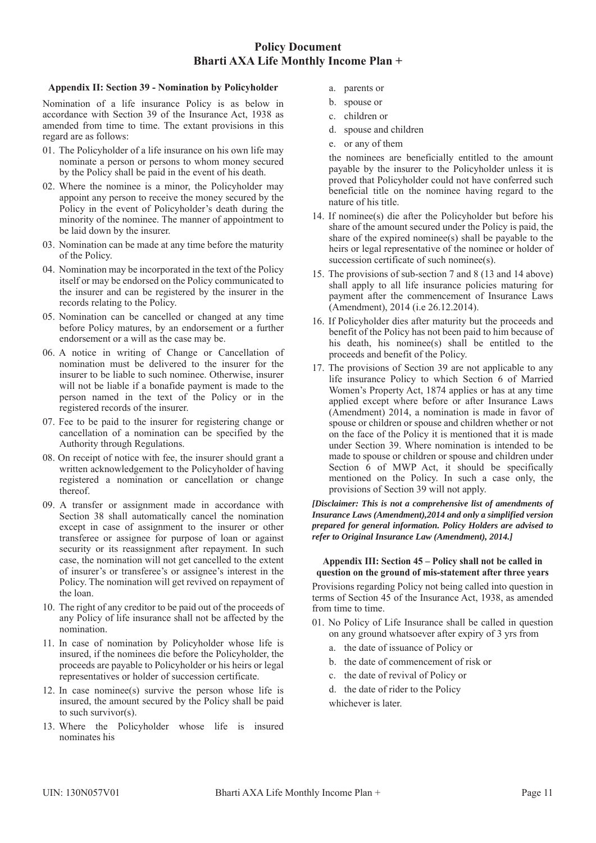#### **Appendix II: Section 39 - Nomination by Policyholder**

Nomination of a life insurance Policy is as below in accordance with Section 39 of the Insurance Act, 1938 as amended from time to time. The extant provisions in this regard are as follows:

- 01. The Policyholder of a life insurance on his own life may nominate a person or persons to whom money secured by the Policy shall be paid in the event of his death.
- 02. Where the nominee is a minor, the Policyholder may appoint any person to receive the money secured by the Policy in the event of Policyholder's death during the minority of the nominee. The manner of appointment to be laid down by the insurer.
- 03. Nomination can be made at any time before the maturity of the Policy.
- 04. Nomination may be incorporated in the text of the Policy itself or may be endorsed on the Policy communicated to the insurer and can be registered by the insurer in the records relating to the Policy.
- 05. Nomination can be cancelled or changed at any time before Policy matures, by an endorsement or a further endorsement or a will as the case may be.
- 06. A notice in writing of Change or Cancellation of nomination must be delivered to the insurer for the insurer to be liable to such nominee. Otherwise, insurer will not be liable if a bonafide payment is made to the person named in the text of the Policy or in the registered records of the insurer.
- 07. Fee to be paid to the insurer for registering change or cancellation of a nomination can be specified by the Authority through Regulations.
- 08. On receipt of notice with fee, the insurer should grant a written acknowledgement to the Policyholder of having registered a nomination or cancellation or change thereof.
- 09. A transfer or assignment made in accordance with Section 38 shall automatically cancel the nomination except in case of assignment to the insurer or other transferee or assignee for purpose of loan or against security or its reassignment after repayment. In such case, the nomination will not get cancelled to the extent of insurer's or transferee's or assignee's interest in the Policy. The nomination will get revived on repayment of the loan.
- 10. The right of any creditor to be paid out of the proceeds of any Policy of life insurance shall not be affected by the nomination.
- 11. In case of nomination by Policyholder whose life is insured, if the nominees die before the Policyholder, the proceeds are payable to Policyholder or his heirs or legal representatives or holder of succession certificate.
- 12. In case nominee(s) survive the person whose life is insured, the amount secured by the Policy shall be paid to such survivor(s).
- 13. Where the Policyholder whose life is insured nominates his
- a. parents or
- b. spouse or
- c. children or
- d. spouse and children
- e. or any of them

 the nominees are beneficially entitled to the amount payable by the insurer to the Policyholder unless it is proved that Policyholder could not have conferred such beneficial title on the nominee having regard to the nature of his title.

- 14. If nominee(s) die after the Policyholder but before his share of the amount secured under the Policy is paid, the share of the expired nominee(s) shall be payable to the heirs or legal representative of the nominee or holder of succession certificate of such nominee(s).
- 15. The provisions of sub-section 7 and 8 (13 and 14 above) shall apply to all life insurance policies maturing for payment after the commencement of Insurance Laws (Amendment), 2014 (i.e 26.12.2014).
- 16. If Policyholder dies after maturity but the proceeds and benefit of the Policy has not been paid to him because of his death, his nominee(s) shall be entitled to the proceeds and benefit of the Policy.
- 17. The provisions of Section 39 are not applicable to any life insurance Policy to which Section 6 of Married Women's Property Act, 1874 applies or has at any time applied except where before or after Insurance Laws (Amendment) 2014, a nomination is made in favor of spouse or children or spouse and children whether or not on the face of the Policy it is mentioned that it is made under Section 39. Where nomination is intended to be made to spouse or children or spouse and children under Section 6 of MWP Act, it should be specifically mentioned on the Policy. In such a case only, the provisions of Section 39 will not apply.

#### *[Disclaimer: This is not a comprehensive list of amendments of Insurance Laws (Amendment),2014 and only a simplified version prepared for general information. Policy Holders are advised to refer to Original Insurance Law (Amendment), 2014.]*

#### **Appendix III: Section 45 – Policy shall not be called in question on the ground of mis-statement after three years**

Provisions regarding Policy not being called into question in terms of Section 45 of the Insurance Act, 1938, as amended from time to time.

- 01. No Policy of Life Insurance shall be called in question on any ground whatsoever after expiry of 3 yrs from
	- a. the date of issuance of Policy or
	- b. the date of commencement of risk or
	- c. the date of revival of Policy or
	- d. the date of rider to the Policy
	- whichever is later.